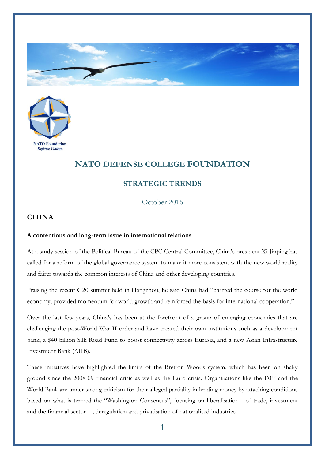



## **NATO DEFENSE COLLEGE FOUNDATION**

## **STRATEGIC TRENDS**

October 2016

## **CHINA**

## **A contentious and long-term issue in international relations**

At a study session of the Political Bureau of the CPC Central Committee, China's president Xi Jinping has called for a reform of the global governance system to make it more consistent with the new world reality and fairer towards the common interests of China and other developing countries.

Praising the recent G20 summit held in Hangzhou, he said China had "charted the course for the world economy, provided momentum for world growth and reinforced the basis for international cooperation."

Over the last few years, China's has been at the forefront of a group of emerging economies that are challenging the post-World War II order and have created their own institutions such as a development bank, a \$40 billion Silk Road Fund to boost connectivity across Eurasia, and a new Asian Infrastructure Investment Bank (AIIB).

These initiatives have highlighted the limits of the Bretton Woods system, which has been on shaky ground since the 2008-09 financial crisis as well as the Euro crisis. Organizations like the IMF and the World Bank are under strong criticism for their alleged partiality in lending money by attaching conditions based on what is termed the "Washington Consensus", focusing on liberalisation—of trade, investment and the financial sector—, deregulation and privatisation of nationalised industries.